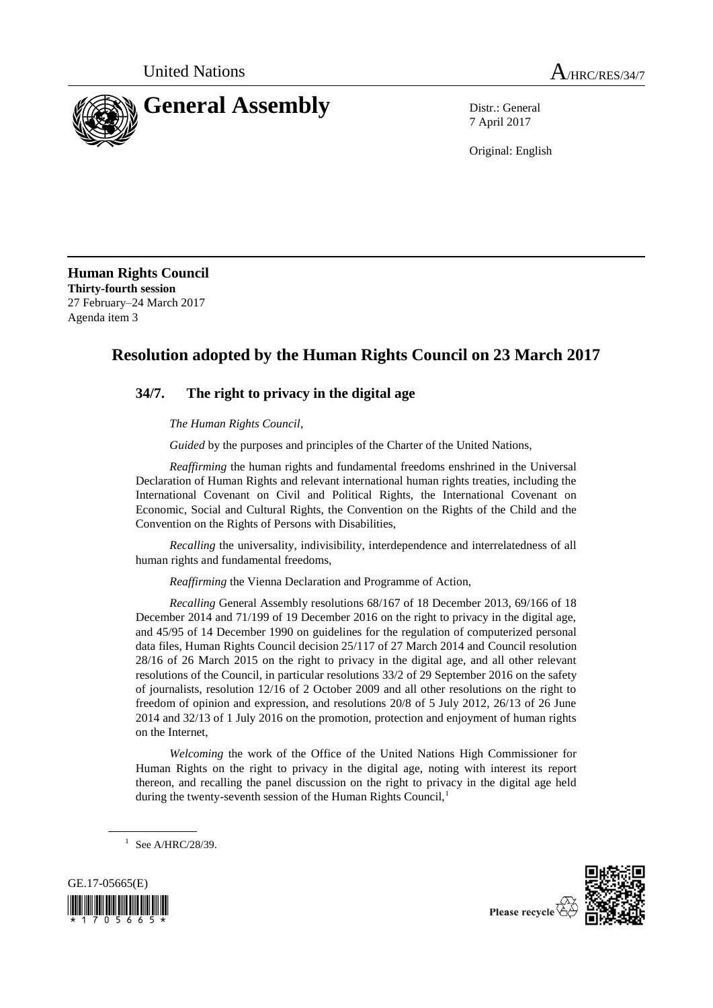

7 April 2017

Original: English

**Human Rights Council Thirty-fourth session** 27 February–24 March 2017 Agenda item 3

## **Resolution adopted by the Human Rights Council on 23 March 2017**

## **34/7. The right to privacy in the digital age**

*The Human Rights Council*,

*Guided* by the purposes and principles of the Charter of the United Nations,

*Reaffirming* the human rights and fundamental freedoms enshrined in the Universal Declaration of Human Rights and relevant international human rights treaties, including the International Covenant on Civil and Political Rights, the International Covenant on Economic, Social and Cultural Rights, the Convention on the Rights of the Child and the Convention on the Rights of Persons with Disabilities,

*Recalling* the universality, indivisibility, interdependence and interrelatedness of all human rights and fundamental freedoms,

*Reaffirming* the Vienna Declaration and Programme of Action,

*Recalling* General Assembly resolutions 68/167 of 18 December 2013, 69/166 of 18 December 2014 and 71/199 of 19 December 2016 on the right to privacy in the digital age, and 45/95 of 14 December 1990 on guidelines for the regulation of computerized personal data files, Human Rights Council decision 25/117 of 27 March 2014 and Council resolution 28/16 of 26 March 2015 on the right to privacy in the digital age, and all other relevant resolutions of the Council, in particular resolutions 33/2 of 29 September 2016 on the safety of journalists, resolution 12/16 of 2 October 2009 and all other resolutions on the right to freedom of opinion and expression, and resolutions 20/8 of 5 July 2012, 26/13 of 26 June 2014 and 32/13 of 1 July 2016 on the promotion, protection and enjoyment of human rights on the Internet,

*Welcoming* the work of the Office of the United Nations High Commissioner for Human Rights on the right to privacy in the digital age, noting with interest its report thereon, and recalling the panel discussion on the right to privacy in the digital age held during the twenty-seventh session of the Human Rights Council,<sup>1</sup>

 $1$  See A/HRC/28/39.



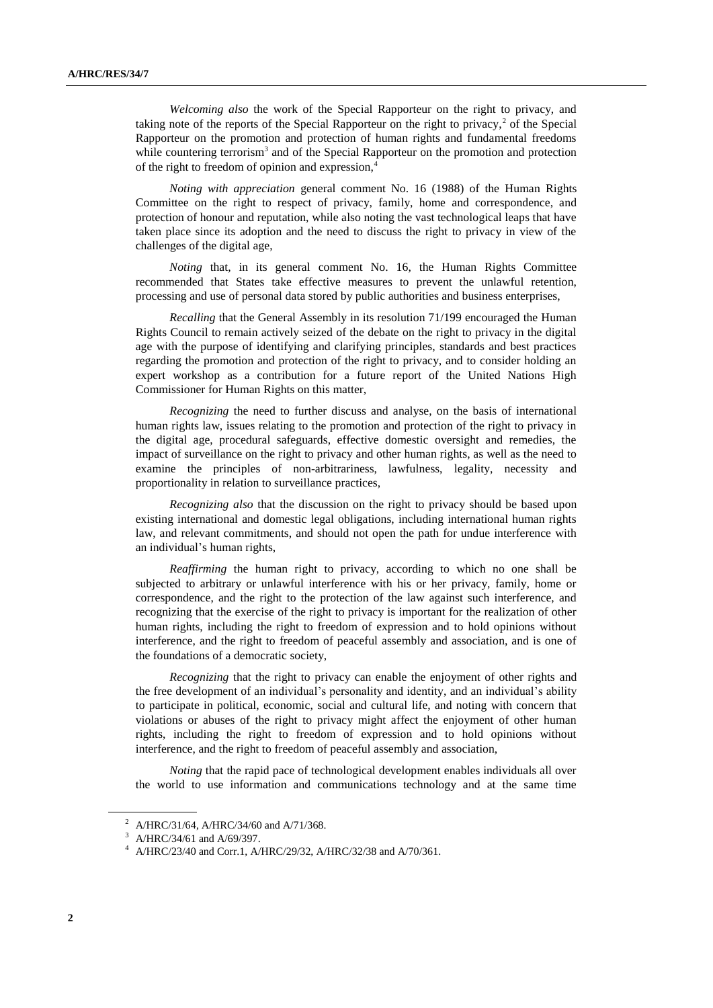*Welcoming also* the work of the Special Rapporteur on the right to privacy, and taking note of the reports of the Special Rapporteur on the right to privacy, $2$  of the Special Rapporteur on the promotion and protection of human rights and fundamental freedoms while countering terrorism<sup>3</sup> and of the Special Rapporteur on the promotion and protection of the right to freedom of opinion and expression,<sup>4</sup>

*Noting with appreciation* general comment No. 16 (1988) of the Human Rights Committee on the right to respect of privacy, family, home and correspondence, and protection of honour and reputation, while also noting the vast technological leaps that have taken place since its adoption and the need to discuss the right to privacy in view of the challenges of the digital age,

*Noting* that, in its general comment No. 16, the Human Rights Committee recommended that States take effective measures to prevent the unlawful retention, processing and use of personal data stored by public authorities and business enterprises,

*Recalling* that the General Assembly in its resolution 71/199 encouraged the Human Rights Council to remain actively seized of the debate on the right to privacy in the digital age with the purpose of identifying and clarifying principles, standards and best practices regarding the promotion and protection of the right to privacy, and to consider holding an expert workshop as a contribution for a future report of the United Nations High Commissioner for Human Rights on this matter,

*Recognizing* the need to further discuss and analyse, on the basis of international human rights law, issues relating to the promotion and protection of the right to privacy in the digital age, procedural safeguards, effective domestic oversight and remedies, the impact of surveillance on the right to privacy and other human rights, as well as the need to examine the principles of non-arbitrariness, lawfulness, legality, necessity and proportionality in relation to surveillance practices,

*Recognizing also* that the discussion on the right to privacy should be based upon existing international and domestic legal obligations, including international human rights law, and relevant commitments, and should not open the path for undue interference with an individual's human rights,

*Reaffirming* the human right to privacy, according to which no one shall be subjected to arbitrary or unlawful interference with his or her privacy, family, home or correspondence, and the right to the protection of the law against such interference, and recognizing that the exercise of the right to privacy is important for the realization of other human rights, including the right to freedom of expression and to hold opinions without interference, and the right to freedom of peaceful assembly and association, and is one of the foundations of a democratic society,

*Recognizing* that the right to privacy can enable the enjoyment of other rights and the free development of an individual's personality and identity, and an individual's ability to participate in political, economic, social and cultural life, and noting with concern that violations or abuses of the right to privacy might affect the enjoyment of other human rights, including the right to freedom of expression and to hold opinions without interference, and the right to freedom of peaceful assembly and association,

*Noting* that the rapid pace of technological development enables individuals all over the world to use information and communications technology and at the same time

<sup>2</sup> A/HRC/31/64, A/HRC/34/60 and A/71/368.

<sup>3</sup> A/HRC/34/61 and A/69/397.

<sup>4</sup> A/HRC/23/40 and Corr.1, A/HRC/29/32, A/HRC/32/38 and A/70/361.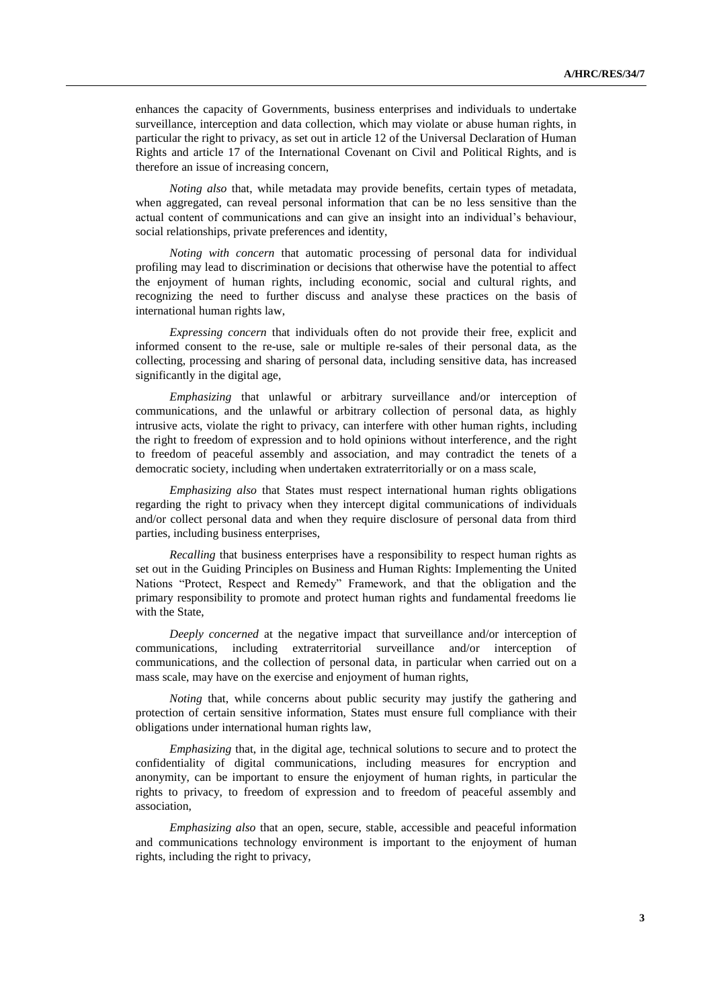enhances the capacity of Governments, business enterprises and individuals to undertake surveillance, interception and data collection, which may violate or abuse human rights, in particular the right to privacy, as set out in article 12 of the Universal Declaration of Human Rights and article 17 of the International Covenant on Civil and Political Rights, and is therefore an issue of increasing concern,

*Noting also* that, while metadata may provide benefits, certain types of metadata, when aggregated, can reveal personal information that can be no less sensitive than the actual content of communications and can give an insight into an individual's behaviour, social relationships, private preferences and identity,

*Noting with concern* that automatic processing of personal data for individual profiling may lead to discrimination or decisions that otherwise have the potential to affect the enjoyment of human rights, including economic, social and cultural rights, and recognizing the need to further discuss and analyse these practices on the basis of international human rights law,

*Expressing concern* that individuals often do not provide their free, explicit and informed consent to the re-use, sale or multiple re-sales of their personal data, as the collecting, processing and sharing of personal data, including sensitive data, has increased significantly in the digital age,

*Emphasizing* that unlawful or arbitrary surveillance and/or interception of communications, and the unlawful or arbitrary collection of personal data, as highly intrusive acts, violate the right to privacy, can interfere with other human rights, including the right to freedom of expression and to hold opinions without interference, and the right to freedom of peaceful assembly and association, and may contradict the tenets of a democratic society, including when undertaken extraterritorially or on a mass scale,

*Emphasizing also* that States must respect international human rights obligations regarding the right to privacy when they intercept digital communications of individuals and/or collect personal data and when they require disclosure of personal data from third parties, including business enterprises,

*Recalling* that business enterprises have a responsibility to respect human rights as set out in the Guiding Principles on Business and Human Rights: Implementing the United Nations "Protect, Respect and Remedy" Framework, and that the obligation and the primary responsibility to promote and protect human rights and fundamental freedoms lie with the State,

*Deeply concerned* at the negative impact that surveillance and/or interception of communications, including extraterritorial surveillance and/or interception of communications, and the collection of personal data, in particular when carried out on a mass scale, may have on the exercise and enjoyment of human rights,

*Noting* that, while concerns about public security may justify the gathering and protection of certain sensitive information, States must ensure full compliance with their obligations under international human rights law,

*Emphasizing* that, in the digital age, technical solutions to secure and to protect the confidentiality of digital communications, including measures for encryption and anonymity, can be important to ensure the enjoyment of human rights, in particular the rights to privacy, to freedom of expression and to freedom of peaceful assembly and association,

*Emphasizing also* that an open, secure, stable, accessible and peaceful information and communications technology environment is important to the enjoyment of human rights, including the right to privacy,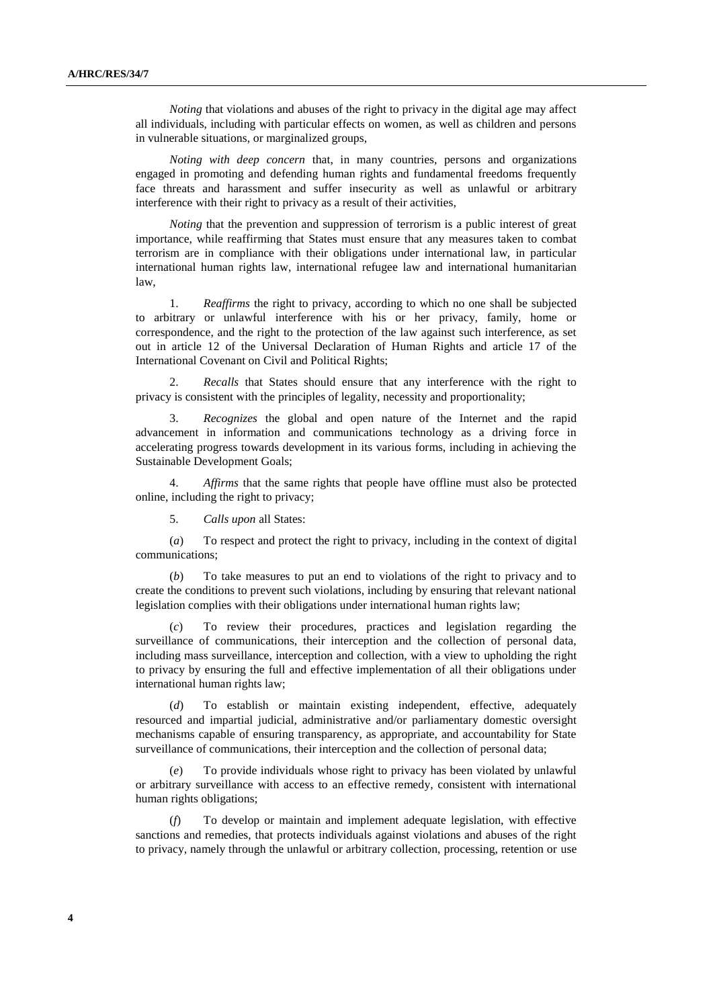*Noting* that violations and abuses of the right to privacy in the digital age may affect all individuals, including with particular effects on women, as well as children and persons in vulnerable situations, or marginalized groups,

*Noting with deep concern* that, in many countries, persons and organizations engaged in promoting and defending human rights and fundamental freedoms frequently face threats and harassment and suffer insecurity as well as unlawful or arbitrary interference with their right to privacy as a result of their activities,

*Noting* that the prevention and suppression of terrorism is a public interest of great importance, while reaffirming that States must ensure that any measures taken to combat terrorism are in compliance with their obligations under international law, in particular international human rights law, international refugee law and international humanitarian law,

1. *Reaffirms* the right to privacy, according to which no one shall be subjected to arbitrary or unlawful interference with his or her privacy, family, home or correspondence, and the right to the protection of the law against such interference, as set out in article 12 of the Universal Declaration of Human Rights and article 17 of the International Covenant on Civil and Political Rights;

2. *Recalls* that States should ensure that any interference with the right to privacy is consistent with the principles of legality, necessity and proportionality;

3. *Recognizes* the global and open nature of the Internet and the rapid advancement in information and communications technology as a driving force in accelerating progress towards development in its various forms, including in achieving the Sustainable Development Goals;

Affirms that the same rights that people have offline must also be protected online, including the right to privacy;

5. *Calls upon* all States:

(*a*) To respect and protect the right to privacy, including in the context of digital communications;

(*b*) To take measures to put an end to violations of the right to privacy and to create the conditions to prevent such violations, including by ensuring that relevant national legislation complies with their obligations under international human rights law;

(*c*) To review their procedures, practices and legislation regarding the surveillance of communications, their interception and the collection of personal data, including mass surveillance, interception and collection, with a view to upholding the right to privacy by ensuring the full and effective implementation of all their obligations under international human rights law;

(*d*) To establish or maintain existing independent, effective, adequately resourced and impartial judicial, administrative and/or parliamentary domestic oversight mechanisms capable of ensuring transparency, as appropriate, and accountability for State surveillance of communications, their interception and the collection of personal data;

(*e*) To provide individuals whose right to privacy has been violated by unlawful or arbitrary surveillance with access to an effective remedy, consistent with international human rights obligations;

(*f*) To develop or maintain and implement adequate legislation, with effective sanctions and remedies, that protects individuals against violations and abuses of the right to privacy, namely through the unlawful or arbitrary collection, processing, retention or use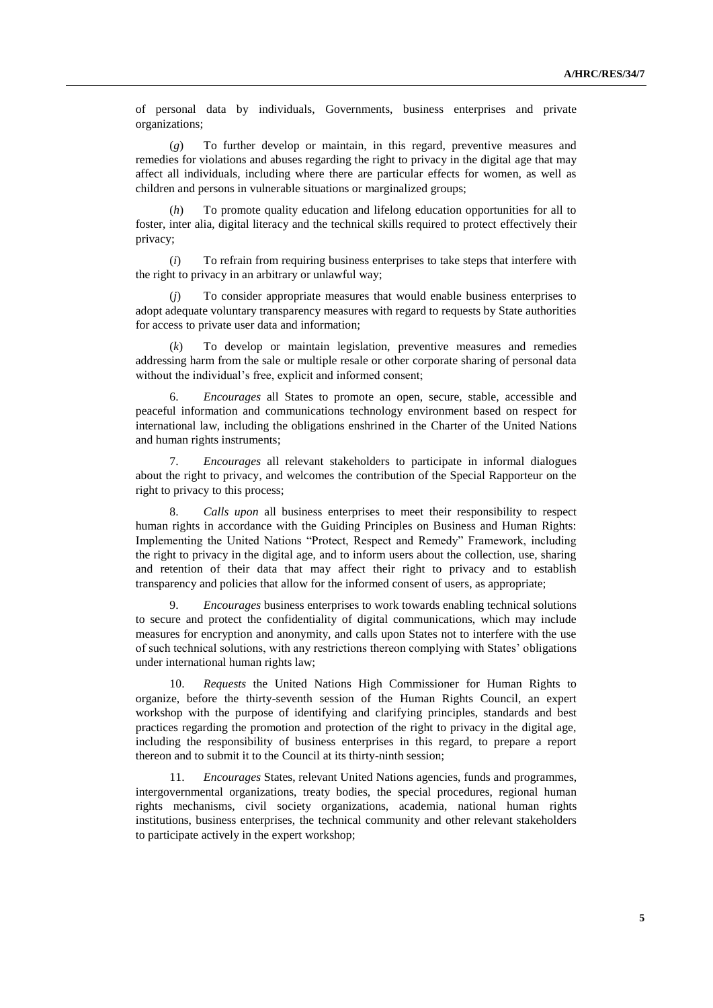of personal data by individuals, Governments, business enterprises and private organizations;

(*g*) To further develop or maintain, in this regard, preventive measures and remedies for violations and abuses regarding the right to privacy in the digital age that may affect all individuals, including where there are particular effects for women, as well as children and persons in vulnerable situations or marginalized groups;

(*h*) To promote quality education and lifelong education opportunities for all to foster, inter alia, digital literacy and the technical skills required to protect effectively their privacy;

(*i*) To refrain from requiring business enterprises to take steps that interfere with the right to privacy in an arbitrary or unlawful way;

(*j*) To consider appropriate measures that would enable business enterprises to adopt adequate voluntary transparency measures with regard to requests by State authorities for access to private user data and information;

(*k*) To develop or maintain legislation, preventive measures and remedies addressing harm from the sale or multiple resale or other corporate sharing of personal data without the individual's free, explicit and informed consent;

6. *Encourages* all States to promote an open, secure, stable, accessible and peaceful information and communications technology environment based on respect for international law, including the obligations enshrined in the Charter of the United Nations and human rights instruments;

7. *Encourages* all relevant stakeholders to participate in informal dialogues about the right to privacy, and welcomes the contribution of the Special Rapporteur on the right to privacy to this process;

8. *Calls upon* all business enterprises to meet their responsibility to respect human rights in accordance with the Guiding Principles on Business and Human Rights: Implementing the United Nations "Protect, Respect and Remedy" Framework, including the right to privacy in the digital age, and to inform users about the collection, use, sharing and retention of their data that may affect their right to privacy and to establish transparency and policies that allow for the informed consent of users, as appropriate;

9. *Encourages* business enterprises to work towards enabling technical solutions to secure and protect the confidentiality of digital communications, which may include measures for encryption and anonymity, and calls upon States not to interfere with the use of such technical solutions, with any restrictions thereon complying with States' obligations under international human rights law;

10. *Requests* the United Nations High Commissioner for Human Rights to organize, before the thirty-seventh session of the Human Rights Council, an expert workshop with the purpose of identifying and clarifying principles, standards and best practices regarding the promotion and protection of the right to privacy in the digital age, including the responsibility of business enterprises in this regard, to prepare a report thereon and to submit it to the Council at its thirty-ninth session;

11. *Encourages* States, relevant United Nations agencies, funds and programmes, intergovernmental organizations, treaty bodies, the special procedures, regional human rights mechanisms, civil society organizations, academia, national human rights institutions, business enterprises, the technical community and other relevant stakeholders to participate actively in the expert workshop;